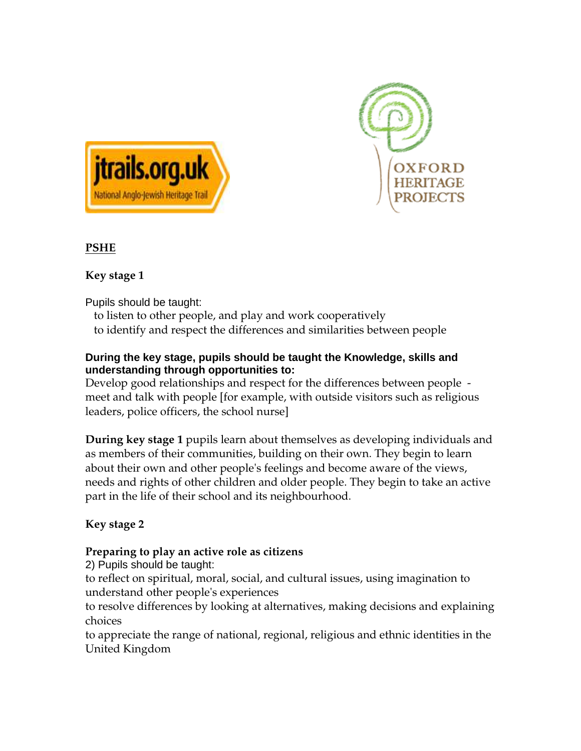



### **PSHE**

### **Key stage 1**

Pupils should be taught:

to listen to other people, and play and work cooperatively to identify and respect the differences and similarities between people

### **During the key stage, pupils should be taught the Knowledge, skills and understanding through opportunities to:**

Develop good relationships and respect for the differences between people meet and talk with people [for example, with outside visitors such as religious leaders, police officers, the school nurse]

**During key stage 1** pupils learn about themselves as developing individuals and as members of their communities, building on their own. They begin to learn about their own and other people's feelings and become aware of the views, needs and rights of other children and older people. They begin to take an active part in the life of their school and its neighbourhood.

## **Key stage 2**

## **Preparing to play an active role as citizens**

2) Pupils should be taught:

to reflect on spiritual, moral, social, and cultural issues, using imagination to understand other people's experiences

to resolve differences by looking at alternatives, making decisions and explaining choices

to appreciate the range of national, regional, religious and ethnic identities in the United Kingdom